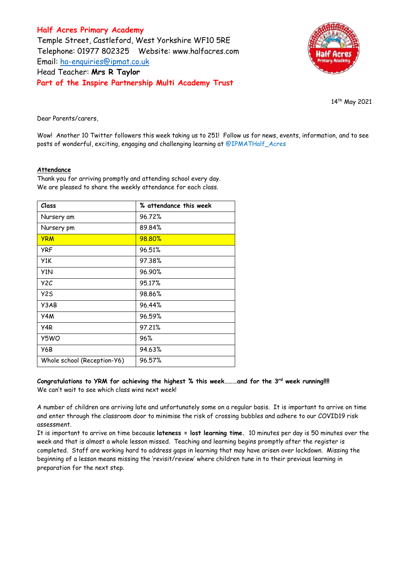**Half Acres Primary Academy** Temple Street, Castleford, West Yorkshire WF10 5RE Telephone: 01977 802325 Website: [www.halfacres.com](http://www.halfacres.com/) Email: [ha-enquiries@ipmat.co.uk](mailto:ha-enquiries@ipmat.co.uk) Head Teacher: **Mrs R Taylor Part of the Inspire Partnership Multi Academy Trust**



14th May 2021

Dear Parents/carers,

Wow! Another 10 Twitter followers this week taking us to 251! Follow us for news, events, information, and to see posts of wonderful, exciting, engaging and challenging learning at @IPMATHalf\_Acres

## **Attendance**

Thank you for arriving promptly and attending school every day. We are pleased to share the weekly attendance for each class.

| Class                       | % attendance this week |
|-----------------------------|------------------------|
| Nursery am                  | 96.72%                 |
| Nursery pm                  | 89.84%                 |
| <b>YRM</b>                  | 98.80%                 |
| <b>YRF</b>                  | 96.51%                 |
| Y1K                         | 97.38%                 |
| Y1N                         | 96.90%                 |
| Y <sub>2</sub> C            | 95.17%                 |
| Y <sub>2</sub> S            | 98.86%                 |
| Y3AB                        | 96.44%                 |
| Y4M                         | 96.59%                 |
| Y4R                         | 97.21%                 |
| Y5WO                        | 96%                    |
| Y6B                         | 94.63%                 |
| Whole school (Reception-Y6) | 96.57%                 |

**Congratulations to YRM for achieving the highest % this week………and for the 3rd week running!!!!** We can't wait to see which class wins next week!

A number of children are arriving late and unfortunately some on a regular basis. It is important to arrive on time and enter through the classroom door to minimise the risk of crossing bubbles and adhere to our COVID19 risk assessment.

It is important to arrive on time because **lateness = lost learning time.** 10 minutes per day is 50 minutes over the week and that is almost a whole lesson missed. Teaching and learning begins promptly after the register is completed. Staff are working hard to address gaps in learning that may have arisen over lockdown. Missing the beginning of a lesson means missing the 'revisit/review' where children tune in to their previous learning in preparation for the next step.